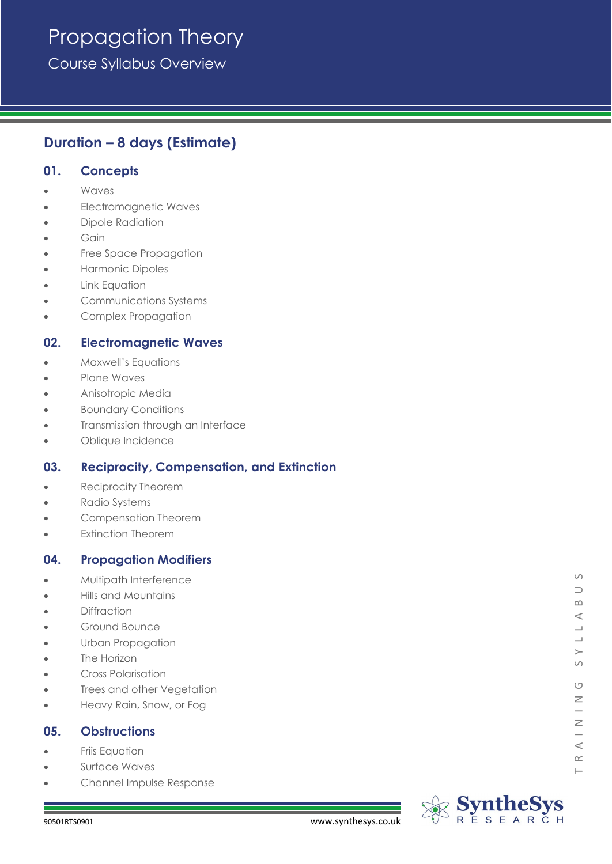# Propagation Theory

Course Syllabus Overview

## **Duration – 8 days (Estimate)**

## **01. Concepts**

- Waves
- Electromagnetic Waves
- Dipole Radiation
- **Gain**
- Free Space Propagation
- Harmonic Dipoles
- **Link Equation**
- Communications Systems
- Complex Propagation

## **02. Electromagnetic Waves**

- Maxwell's Equations
- Plane Waves
- Anisotropic Media
- Boundary Conditions
- Transmission through an Interface
- Oblique Incidence

## **03. Reciprocity, Compensation, and Extinction**

- Reciprocity Theorem
- Radio Systems
- Compensation Theorem
- **Extinction Theorem**

## **04. Propagation Modifiers**

- Multipath Interference
- Hills and Mountains
- Diffraction
- Ground Bounce
- Urban Propagation
- The Horizon
- Cross Polarisation
- Trees and other Vegetation
- Heavy Rain, Snow, or Fog

## **05. Obstructions**

- Friis Equation
- Surface Waves
- Channel Impulse Response



 $\circ$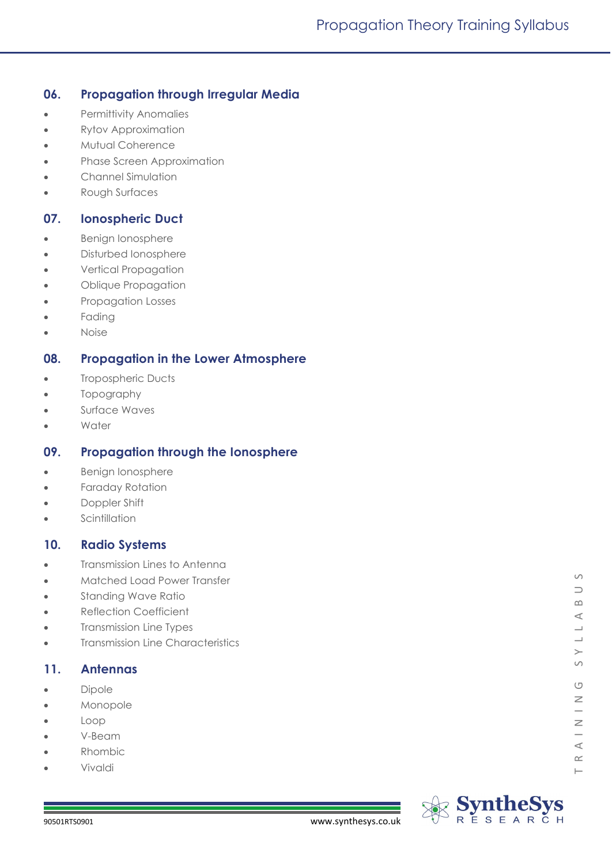## **06. Propagation through Irregular Media**

- Permittivity Anomalies
- Rytov Approximation
- Mutual Coherence
- Phase Screen Approximation
- Channel Simulation
- Rough Surfaces

## **07. Ionospheric Duct**

- Benign Ionosphere
- Disturbed Ionosphere
- Vertical Propagation
- Oblique Propagation
- Propagation Losses
- Fading
- Noise

## **08. Propagation in the Lower Atmosphere**

- Tropospheric Ducts
- Topography
- Surface Waves
- **Water**

## **09. Propagation through the Ionosphere**

- Benign Ionosphere
- Faraday Rotation
- Doppler Shift
- Scintillation

## **10. Radio Systems**

- **Transmission Lines to Antenna**
- Matched Load Power Transfer
- Standing Wave Ratio
- Reflection Coefficient
- Transmission Line Types
- Transmission Line Characteristics

## **11. Antennas**

- Dipole
- **Monopole**
- Loop
- V-Beam
- Rhombic
- Vivaldi

 $\vdash$ 

 $\circ$